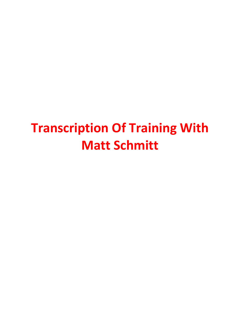## **Transcription Of Training With Matt Schmitt**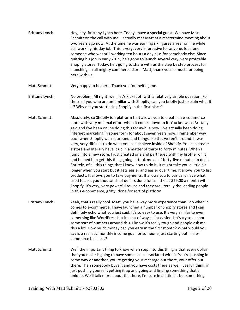Brittany Lynch: Hey, hey, Brittany Lynch here. Today I have a special guest. We have Matt Schmitt on the call with me. I actually met Matt at a mastermind meeting about two years ago now. At the time he was earning six figures a year online while still working his day job. This is very, very impressive for anyone, let alone someone who was still working ten hours a day plus for somebody else. Since quitting his job in early 2015, he's gone to launch several very, very profitable Shopify stores. Today, he's going to share with us the step by step process for launching an all mighty commerce store. Matt, thank you so much for being here with us.

Matt Schmitt: Very happy to be here. Thank you for inviting me.

- Brittany Lynch: No problem. All right, we'll let's kick it off with a relatively simple question. For those of you who are unfamiliar with Shopify, can you briefly just explain what it is? Why did you start using Shopify in the first place?
- Matt Schmitt: Absolutely, so Shopify is a platform that allows you to create an e-commerce store with very minimal effort when it comes down to it. You know, as Brittany said and I've been online doing this for awhile now. I've actually been doing internet marketing in some form for about seven years now. I remember way back when Shopify wasn't around and things like this weren't around. It was very, very difficult to do what you can achieve inside of Shopify. You can create a store and literally have it up in a matter of thirty to forty minutes. When I jump into a new store, I just created one and partnered with my brother on it and helped him get this thing going. It took me all of forty-five minutes to do it. Entirely, of all this things that I know how to do it. It might take you a little bit longer when you start but it gets easier and easier over time. It allows you to list products. It allows you to take payments. It allows you to basically have what used to cost you thousands of dollars done for as little as \$29.00 a month with Shopify. It's very, very powerful to use and they are literally the leading people in this e‐commerce, gritty, done for sort of platform.
- Brittany Lynch: Yeah, that's really cool. Matt, you have way more experience than I do when it comes to e‐commerce. I have launched a number of Shopify stores and I can definitely echo what you just said. It's so easy to use. It's very similar to even something like WordPress but in a lot of ways a lot easier. Let's try to anchor some sort of numbers around this. I know it's really tough and people ask me this a lot. How much money can you earn in the first month? What would you say is a realistic monthly income goal for someone just starting out in a e‐ commerce business?
- Matt Schmitt: Well the important thing to know when step into this thing is that every dollar that you make is going to have some costs associated with it. You're pushing in some way or another, you're getting your message out there, your offer out there. Then somebody buys it and you have costs there as well. Easily I think, in just pushing yourself, getting it up and going and finding something that's unique. We'll talk more about that here, I'm sure in a little bit but something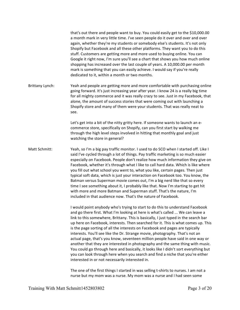that's out there and people want to buy. You could easily get to the \$10,000.00 a month mark in very little time. I've seen people do it over and over and over again, whether they're my students or somebody else's students. It's not only Shopify but Facebook and all these other platforms. They want you to do this stuff. Customers are getting more and more used to buying online. You can Google it right now, I'm sure you'll see a chart that shows you how much online shopping has increased over the last couple of years. A 10,000.00 per month mark is something that you can easily achieve. I would say if you're really dedicated to it, within a month or two months. Brittany Lynch: Yeah and people are getting more and more comfortable with purchasing online

going forward. It's just increasing year after year. I know 24 is a really big time for all mighty commerce and it was really crazy to see. Just in my Facebook, that alone, the amount of success stories that were coming out with launching a Shopify store and many of them were your students. That was really neat to see.

> Let's get into a bit of the nitty gritty here. If someone wants to launch an e‐ commerce store, specifically on Shopify, can you first start by walking me through the high level steps involved in hitting that monthly goal and just watching the store in general?

Matt Schmitt: Yeah, so I'm a big pay traffic monitor. I used to do SCO when I started off. Like I said I've cycled through a lot of things. Pay traffic marketing is so much easier especially on Facebook. People don't realize how much information they give on Facebook, whether it's through what I like to call hard data. Which is like where you fill out what school you went to, what you like, certain pages. Then just typical soft data, which is just your interaction on Facebook too. You know, the Batman versus Superman movie comes out, I'm a big nerd like that so every time I see something about it, I probably like that. Now I'm starting to get hit with more and more Batman and Superman stuff. That's the nature, I'm included in that audience now. That's the nature of Facebook.

> I would point anybody who's trying to start to do this to understand Facebook and go there first. What I'm looking at here is what's called ... We can leave a link to this somewhere, Brittany. This is basically, I just typed in the search bar up here on Facebook, interests. Then searched for it. This is what comes up. This is the page sorting of all the interests on Facebook and pages are typically interests. You'll see like the Dr. Strange movie, photography. That's not an actual page, that's you know, seventeen million people have said in one way or another that they are interested in photography and the same thing with music. You could go through here and basically, it looks like I didn't sort everything but you can look through here when you search and find a niche that you're either interested in or not necessarily interested in.

The one of the first things I started in was selling t-shirts to nurses. I am not a nurse but my mom was a nurse. My mom was a nurse and I had seen some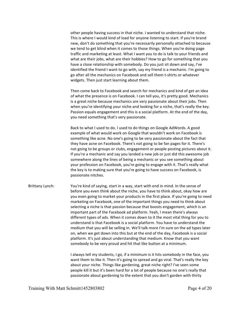other people having success in that niche. I wanted to understand that niche. This is where I would kind of load for anyone listening to start. If you're brand new, don't do something that you're necessarily personally attached to because we tend to get blind when it comes to those things. When you're doing page traffic and marketing at least. What I want you to do is talk to your friends and what are their jobs, what are their hobbies? How to go for something that you have a close relationship with somebody. Do you just sit down and say, I've identified the friend I want to go with, say my friend is a mechanic. I'm going to go after all the mechanics on Facebook and sell them t‐shirts or whatever widgets. Then just start learning about them.

Then come back to Facebook and search for mechanics and kind of get an idea of what the presence is on Facebook. I can tell you, it's pretty good. Mechanics is a great niche because mechanics are very passionate about their jobs. Then when you're identifying your niche and looking for a niche, that's really the key. Passion equals engagement and this is a social platform. At the end of the day, you need something that's very passionate.

Back to what I used to do. I used to do things on Google AdWords. A good example of what would work on Google that wouldn't work on Facebook is something like acne. No one's going to be very passionate about the fact that they have acne on Facebook. There's not going to be fan pages for it. There's not going to be groups or clubs, engagement or people posting pictures about it. If you're a mechanic and say you landed a new job or just did this awesome job somewhere along the lines of being a mechanic or you see something about your profession on Facebook, you're going to engage with it. That's really what the key is to making sure that you're going to have success on Facebook, is passionate nitches.

Brittany Lynch: You're kind of saying, start in a way, start with end in mind. In the sense of before you even think about the niche, you have to think about, okay how are you even going to market your products in the first place. If you're going to need marketing on Facebook, one of the important things you need to think about selecting a niche is that passion because that boosts engagement, which is an important part of the Facebook ad platform. Yeah, I mean there's always different types of ads. When it comes down to it the most vital thing for you to understand is that Facebook is a social platform. You have to understand the medium that you will be selling in. We'll talk more I'm sure on the ad types later on, when we get down into this but at the end of the day, Facebook is a social platform. It's just about understanding that medium. Know that you want somebody to be very proud and hit that like button at a minimum.

> I always tell my students, I go, if a minimum is it hits somebody in the face, you want them to like it. Then it's going to spread and go viral. That's really the key about your niche. Things like gardening, great niche right? I've seen some people kill it but it's been hard for a lot of people because no one's really that passionate about gardening to the extent that you don't garden with thirty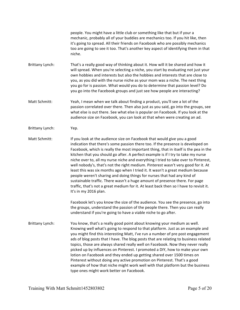people. You might have a little club or something like that but if your a mechanic, probably all of your buddies are mechanics too. If you hit like, then it's going to spread. All their friends on Facebook who are possibly mechanics too are going to see it too. That's another key aspect of identifying them in that niche.

Brittany Lynch: That's a really good way of thinking about it. How will it be shared and how it will spread. When you're selecting a niche, you start by evaluating not just your own hobbies and interests but also the hobbies and interests that are close to you, as you did with the nurse niche as your mom was a niche. The next thing you go for is passion. What would you do to determine that passion level? Do you go into the Facebook groups and just see how people are interacting?

Matt Schmitt: Yeah, I mean when we talk about finding a product, you'll see a lot of the passion correlated over there. Then also just as you said, go into the groups, see what else is out there. See what else is popular on Facebook. If you look at the audience size on Facebook, you can look at that when were creating an ad.

Brittany Lynch: Yep.

Matt Schmitt: If you look at the audience size on Facebook that would give you a good indication that there's some passion there too. If the presence is developed on Facebook, which is really the most important thing, that in itself is the pea in the kitchen that you should go after. A perfect example is if I try to take my nurse niche over to, all my nurse niche and everything I tried to take over to Pinterest, well nobody's, that's not the right medium. Pinterest wasn't very good for it. At least this was six months ago when I tried it. It wasn't a great medium because people weren't sharing and doing things for nurses that had any kind of sustainable traffic. There wasn't a huge amount of presence there. For page traffic, that's not a great medium for it. At least back then so I have to revisit it. It's in my 2016 plan.

> Facebook let's you know the size of the audience. You see the presence, go into the groups, understand the passion of the people there. Then you can really understand if you're going to have a viable niche to go after.

Brittany Lynch: You know, that's a really good point about knowing your medium as well. Knowing well what's going to respond to that platform. Just as an example and you might find this interesting Matt, I've run a number of pre post engagement ads of blog posts that I have. The blog posts that are relating to business related topics, those are always shared really well on Facebook. Now they never really picked up by influences on Pinterest. I promoted a DIY, how to make your own lotion on Facebook and they ended up getting shared over 1500 times on Pinterest without doing any active promotion on Pinterest. That's a good example of how that niche might work well with that platform but the business type ones might work better on Facebook.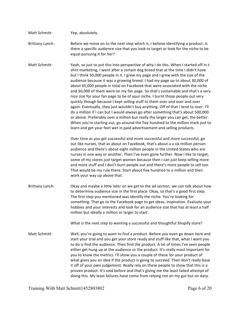- Matt Schmitt: Yep, absolutely.
- Brittany Lynch: Before we move on to the next step which is, I believe identifying a product. Is there a specific audience size that you look to target or look for the niche to be equal pursuing it for her?
- Matt Schmitt: Yeah, so just to put this into perspective of why I do this. When I started off in tshirt marketing, I went after a certain dog breed that at the time I didn't have but I think 50,000 people in it. I grew my page and I grew with the size of the audience because it was a growing breed. I had my page up to about 30,000 of about 65,000 people in total on Facebook that were associated with the niche and 30,000 of them were on my fan page. So that's sustainable and that's a very nice size for your fan page to be of your niche. I burnt those people out very quickly though because I kept selling stuff to them over and over and over again. Eventually, they just wouldn't buy anything. Off of that I tend to over. I'll do a million if I can but I would always go after something that's about 500,000 or above. Preferably over a million but really the larger you can get, the better. When you're starting out, go around the five hundred to the million mark just to learn and get your feet wet in paid advertisement and selling products.

Over time as you get successful and more successful and more successful, go out like nurses, that as about on Facebook, that's about a a six million person audience and there's about eight million people in the United States who are nurses in one way or another. Then I've even gone further. Now I like to target, some of my stores just target women because then I can just keep selling more and more stuff and I don't burn people out and there's more people to sell too. That would be my rule there. Start about five hundred to a million and then work your way up above that.

Brittany Lynch: Okay and maybe a little later on we get to the ad section, we can talk about how to determine audience size in the first place. Okay, so that's a good first step. The first step you mentioned was identify the niche. You're looking for something. That go to the Facebook page to get ideas, inspiration. Evaluate your hobbies and your interests and look for an audience size that has at least a half million but ideally a million or larger to start.

What is the next step to wanting a successful and thoughtful Shopify store?

Matt Schmitt: Well, you're going to want to find a product. Before you even go down here and start your trial and you get your store ready and stuff like that, what I want you to do is find the audience. Then find the product. A lot of times I've seen people either get hung up at the audience or the product. It's really most important for you to know the metrics. I'll show you a couple of these for your product of what gives you an idea if the product is going to succeed. Then don't really base it off of your own judgement. Really rely on these people to show that this is a proven product. It's sold before and that's giving me the least failed attempt of doing this. My least failures have come from relying not on my gut but on data.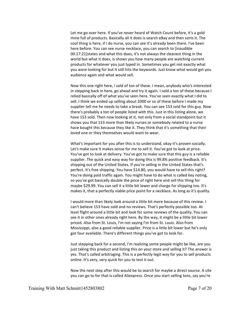Let me go over here. If you've never heard of Watch Count before, it's a gold mine full of products. Basically all it does is search eBay and then sorts it. The cool thing is here, if I do nurse, you can see it's already been there. I've been here before. You can see nurse necklace, you can search to [inaudible 00:17:21]states and what this does, it's not always the cleanest thing in the world but what it does, is shows you how many people are watching current products for whatever you just typed in. Sometimes you get not exactly what you were looking for but it still hits the keywords. Just know what would get you audience again and what would sell.

Now this one right here, I sold of ton of these. I mean, anybody who's interested in stepping back in here, go ahead and try it again. I sold a ton of these because I relied basically off of what you've seen here. You've seen exactly what I did to sell. I think we ended up selling about 2000 or so of these before I made my supplier tell me he needs to take a break. You can see 153 sold for this guy. Now there's probably a ton of people listed with this. Just in this listing alone, we have 153 sold. Then now looking at it, not only from a social standpoint but it shows you that 153 more than likely nurses or somebody related to a nurse have bought this because they like it. They think that it's something that their loved one or they themselves would want to wear.

What's important for you after this is to understand, okay it's proven socially. Let's make sure it makes sense for me to sell it. You've got to look at price. You've got to look at delivery. You've got to make sure that this guy is a reliable supplier. The quick and easy way for doing this is 99.8% positive feedback. It's shipping out of the United States. If you're selling in the United States that's perfect. It's free shipping. You have \$14.80, you would have to sell this right? You're doing paid traffic again. You might have to do what is called key noting, so you've got basically double the price of right here and sell this thing for maybe \$29.99. You can sell it a little bit lower and charge for shipping too. It's makes it, that a perfectly viable price point for a necklace. As long as it's quality.

I would more than likely look around a little bit more because of this review. I can't believe 153 have sold and no reviews. That's perfectly possible too. At least flight around a little bit and look for some reviews of the quality. You can see it in other ones already right here. By the way, it might be a little bit lower priced. Also from St. Louis, I'm not saying I'm from St. Louis. Also from Mississippi, also a good reliable supplier. Price is a little bit lower but he's only got four available. There's different things you've got to look for.

Just stepping back for a second, I'm realizing some people might be like, are you just taking this product and listing this on your store and selling it? The answer is yes. That's called arbitraging. This is a perfectly legit way for you to sell products online. It's very, very quick for you to test it out.

Now the next step after this would be to search for maybe a direct source. A site you can go to for that is called Aliexpress. Once you start selling tons, say you're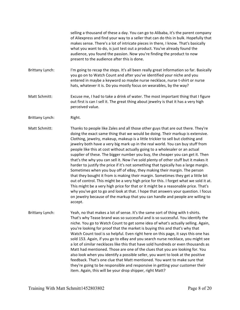selling a thousand of these a day. You can go to Alibaba, it's the parent company of Aliexpress and find your way to a seller that can do this in bulk. Hopefully that makes sense. There's a lot of intricate pieces in there, I know. That's basically what you want to do, is just test out a product. You've already found the audience, you found the passion. Now you're finding the product to now present to the audience after this is done.

- Brittany Lynch: I'm going to recap the steps. It's all been really great information so far. Basically you go on to Watch Count and after you've identified your niche and you entered in maybe a keyword so maybe nurse necklace, nurse t‐shirt or nurse hats, whatever it is. Do you mostly focus on wearables, by the way?
- Matt Schmitt: Excuse me, I had to take a drink of water. The most important thing that I figure out first is can I sell it. The great thing about jewelry is that it has a very high perceived value.
- Brittany Lynch: Right.

Matt Schmitt: Thanks to people like Zales and all those other guys that are out there. They're doing the exact same thing that we would be doing. Their markup is extensive. Clothing, jewelry, makeup, makeup is a little trickier to sell but clothing and jewelry both have a very big mark up in the real world. You can buy stuff from people like this at cost without actually going to a wholesaler or an actual supplier of these. The bigger number you buy, the cheaper you can get it. Then that's the why you can sell it. Now I've sold plenty of other stuff but it makes it harder to justify the price if it's not something that typically has a large margin. Sometimes when you buy off of eBay, they making their margin. The person that they bought it from is making their margin. Sometimes they get a little bit out of control. This might be a very high price for this. I forget what we sold it at. This might be a very high price for that or it might be a reasonable price. That's why you've got to go and look at that. I hope that answers your question. I focus on jewelry because of the markup that you can handle and people are willing to accept.

Brittany Lynch: Yeah, no that makes a lot of sense. It's the same sort of thing with t-shirts. That's why Tease brand was so successful and is so successful. You identify the niche. You go to Watch Count to get some idea of what's actually selling. Again, you're looking for proof that the market is buying this and that's why that Watch Count tool is so helpful. Even right here on this page, it says this one has sold 153. Again, if you go to eBay and you search nurse necklace, you might see a lot of similar necklaces like this that have sold hundreds or even thousands as Matt had mentioned. Those are one of the clues that you are looking for. You also look when you identify a possible seller, you want to look at the positive feedback. That's one clue that Matt mentioned. You want to make sure that they're going to be responsible and responsive in getting your customer their item. Again, this will be your drop shipper, right Matt?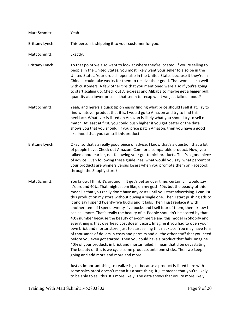| Matt Schmitt:          | Yeah.                                                                                                                                                                                                                                                                                                                                                                                                                                                                                                                                                                                                                                                                                                                                                                                                                                                                                                                                                                                                                                                                                                                                                                                                                                              |
|------------------------|----------------------------------------------------------------------------------------------------------------------------------------------------------------------------------------------------------------------------------------------------------------------------------------------------------------------------------------------------------------------------------------------------------------------------------------------------------------------------------------------------------------------------------------------------------------------------------------------------------------------------------------------------------------------------------------------------------------------------------------------------------------------------------------------------------------------------------------------------------------------------------------------------------------------------------------------------------------------------------------------------------------------------------------------------------------------------------------------------------------------------------------------------------------------------------------------------------------------------------------------------|
| <b>Brittany Lynch:</b> | This person is shipping it to your customer for you.                                                                                                                                                                                                                                                                                                                                                                                                                                                                                                                                                                                                                                                                                                                                                                                                                                                                                                                                                                                                                                                                                                                                                                                               |
| Matt Schmitt:          | Exactly.                                                                                                                                                                                                                                                                                                                                                                                                                                                                                                                                                                                                                                                                                                                                                                                                                                                                                                                                                                                                                                                                                                                                                                                                                                           |
| <b>Brittany Lynch:</b> | To that point we also want to look at where they're located. If you're selling to<br>people in the United States, you most likely want your seller to also be in the<br>United States. Your drop shipper also in the United States because it they're in<br>China it could take weeks for them to receive their good. That won't sit so well<br>with customers. A few other tips that you mentioned were also if you're going<br>to start scaling up. Check out Aliexpress and Alibaba to maybe get a bigger bulk<br>quantity at a lower price. Is that seem to recap what we just talked about?                                                                                                                                                                                                                                                                                                                                                                                                                                                                                                                                                                                                                                                   |
| Matt Schmitt:          | Yeah, and here's a quick tip on easily finding what price should I sell it at. Try to<br>find whatever product that it is. I would go to Amazon and try to find this<br>necklace. Whatever is listed on Amazon is likely what you should try to sell or<br>match. At least at first, you could push higher if you get better or the data<br>shows you that you should. If you price patch Amazon, then you have a good<br>likelihood that you can sell this product.                                                                                                                                                                                                                                                                                                                                                                                                                                                                                                                                                                                                                                                                                                                                                                               |
| <b>Brittany Lynch:</b> | Okay, so that's a really good piece of advice. I know that's a question that a lot<br>of people have. Check out Amazon. Com for a comparable product. Now, you<br>talked about earlier, not following your gut to pick products. That's a good piece<br>of advice. Even following these guidelines, what would you say, what percent of<br>your products are winners versus losers when you promote them on Facebook<br>through the Shopify store?                                                                                                                                                                                                                                                                                                                                                                                                                                                                                                                                                                                                                                                                                                                                                                                                 |
| Matt Schmitt:          | You know, I think it's around  It get's better over time, certainly. I would say<br>it's around 40%. That might seem like, oh my gosh 40% but the beauty of this<br>model is that you really don't have any costs until you start advertising. I can list<br>this product on my store without buying a single one. Then I start pushing ads to<br>it and say I spend twenty-five bucks and it fails. Then I just replace it with<br>another item. If I spend twenty-five bucks and I sell four of them, then I know I<br>can sell more. That's really the beauty of it. People shouldn't be scared by that<br>40% number because the beauty of e-commerce and this model in Shopify and<br>everything is that overhead cost doesn't exist. Imagine if you had to open your<br>own brick and mortar store, just to start selling this necklace. You may have tens<br>of thousands of dollars in costs and permits and all the other stuff that you need<br>before you even got started. Then you could have a product that fails. Imagine<br>40% of your products in brick and mortar failed, I mean that'd be devastating.<br>The beauty of this is we cycle some products until one sticks. Then we keep<br>going and add more and more and more. |
|                        | Just as important thing to realize is just because a product is listed here with<br>some sales proof doesn't mean it's a sure thing. It just means that you're likely                                                                                                                                                                                                                                                                                                                                                                                                                                                                                                                                                                                                                                                                                                                                                                                                                                                                                                                                                                                                                                                                              |

to be able to sell this. It's more likely. The data shows that you're more likely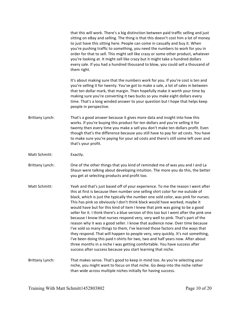|                        | that this will work. There's a big distinction between paid traffic selling and just<br>sitting on eBay and selling. The thing is that this doesn't cost him a lot of money<br>to just have this sitting here. People can come in casually and buy it. When<br>you're pushing traffic to something, you need the numbers to work for you in<br>order for that to sell. This might sell like crazy or some other product, whatever<br>you're looking at. It might sell like crazy but it might take a hundred dollars<br>every sale. If you had a hundred thousand to blow, you could sell a thousand of<br>them right.                                                                                                                                                                                                                                                                                                                                                                                                                                                                    |
|------------------------|-------------------------------------------------------------------------------------------------------------------------------------------------------------------------------------------------------------------------------------------------------------------------------------------------------------------------------------------------------------------------------------------------------------------------------------------------------------------------------------------------------------------------------------------------------------------------------------------------------------------------------------------------------------------------------------------------------------------------------------------------------------------------------------------------------------------------------------------------------------------------------------------------------------------------------------------------------------------------------------------------------------------------------------------------------------------------------------------|
|                        | It's about making sure that the numbers work for you. If you're cost is ten and<br>you're selling it for twenty. You've got to make a sale, a lot of sales in between<br>that ten dollar mark, that margin. Then hopefully make it worth your time by<br>making sure you're converting it two bucks so you make eight dollars every<br>time. That's a long winded answer to your question but I hope that helps keep<br>people in perspective.                                                                                                                                                                                                                                                                                                                                                                                                                                                                                                                                                                                                                                            |
| Brittany Lynch:        | That's a good answer because it gives more data and insight into how this<br>works. If you're buying this product for ten dollars and you're selling it for<br>twenty then every time you make a sell you don't make ten dollars profit. Even<br>though that's the difference because you still have to pay for ad costs. You have<br>to make sure you're paying for your ad costs and there's still some left over and<br>that's your profit.                                                                                                                                                                                                                                                                                                                                                                                                                                                                                                                                                                                                                                            |
| Matt Schmitt:          | Exactly.                                                                                                                                                                                                                                                                                                                                                                                                                                                                                                                                                                                                                                                                                                                                                                                                                                                                                                                                                                                                                                                                                  |
| Brittany Lynch:        | One of the other things that you kind of reminded me of was you and I and La<br>Shaun were talking about developing intuition. The more you do this, the better<br>you get at selecting products and profit too.                                                                                                                                                                                                                                                                                                                                                                                                                                                                                                                                                                                                                                                                                                                                                                                                                                                                          |
| Matt Schmitt:          | Yeah and that's just based off of your experience. To me the reason I went after<br>this at first is because then number one selling shirt color for me outside of<br>black, which is just the typically the number one sold color, was pink for nurses.<br>This has pink so obviously I don't think black would have worked, maybe it<br>would have but for this kind of item I knew that pink was going to be a good<br>seller for it. I think there's a blue version of this too but I went after the pink one<br>because I know that nurses respond very, very well to pink. That's part of the<br>reason why it was a good seller. I know that audience now. Over time because<br>I've sold so many things to them, I've learned those factors and the ways that<br>they respond. That will happen to people very, very quickly. It's not something,<br>I've been doing this paid t-shirts for two, two and half years now. After about<br>three months in a niche I was getting comfortable. You have success after<br>success after success because you start learning that niche. |
| <b>Brittany Lynch:</b> | That makes sense. That's good to keep in mind too. As you're selecting your<br>niche, you might want to focus on that niche. Go deep into the niche rather<br>than wide across multiple niches initially for having success.                                                                                                                                                                                                                                                                                                                                                                                                                                                                                                                                                                                                                                                                                                                                                                                                                                                              |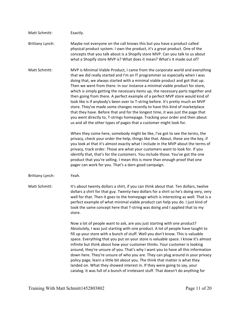## Matt Schmitt: Exactly.

Brittany Lynch: Maybe not everyone on the call knows this but you have a product called physical product system. I own the product, it's a great product. One of the concepts that you talk about is a Shopify store MVP. Can you talk to us about what a Shopify store MVP is? What does it mean? What's it made out of?

Matt Schmitt: MVP is Minimal Viable Product, I came from the corporate world and everything that we did really started and I'm an IT programmer so especially when I was doing that, we always started with a minimal viable product and got that up. Then we went from there. In our instance a minimal viable product for store, which is simply getting the necessary items up, the necessary parts together and then going from there. A perfect example of a perfect MVP store would kind of look like is if anybody's been over to T‐string before. It's pretty much an MVP store. They've made some changes recently to have this kind of marketplace that they have. Before that and for the longest time, it was just the page that you went directly to, T‐strings homepage. Tracking your order and then about us and all the other types of pages that a customer might look for.

> When they come here, somebody might be like, I've got to see the terms, the privacy, check your order the help, things like that. About, these are the key, if you look at that it's almost exactly what I include in the MVP about the terms of privacy, track order. Those are what your customers want to look for. If you identify that, that's for the customers. You include those. You've got the one product that you're selling. I mean this is more than enough proof that one pager can work for you. That's a darn good campaign.

Brittany Lynch: Yeah.

Matt Schmitt: It's about twenty dollars a shirt, if you can think about that. Ten dollars, twelve dollars a shirt for that guy. Twenty‐two dollars for a shirt so he's doing very, very well for that. Then it goes to the homepage which is interesting as well. That is a perfect example of what minimal viable product can help you do. I just kind of took the same concept here that T‐string was doing and I applied that to my store.

> Now a lot of people want to ask, are you just starting with one product? Absolutely, I was just starting with one product. A lot of people have taught to fill up your store with a bunch of stuff. Well you don't know. This is valuable space. Everything that you put on your store is valuable space. I know it's almost infinite but think about how your customer thinks. Your customer is looking around, they're unsure of you. That's why I want you to have all this information down here. They're unsure of who you are. They can plug around in your privacy policy page, learn a little bit about you. The think that matter is what they landed on. What they showed interest in. If they were going to say, your catalog. It was full of a bunch of irrelevant stuff. That doesn't do anything for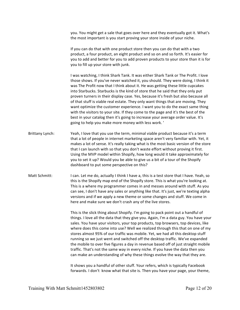you. You might get a sale that goes over here and they eventually got it. What's the most important is you start proving your store inside of your niche.

If you can do that with one product store then you can do that with a two product, a four product, an eight product and so on and so forth. It's easier for you to add and better for you to add proven products to your store than it is for you to fill up your store with junk.

I was watching, I think Shark Tank. It was either Shark Tank or The Profit. I love those shows. If you've never watched it, you should. They were doing, I think it was The Profit now that I think about it. He was getting these little cupcakes into Starbucks. Starbucks is the kind of store that he said that they only put proven turners in their display case. Yes, because it's fresh but also because all of that stuff is viable real estate. They only want things that are moving. They want optimize the customer experience. I want you to do the exact same thing with the visitors to your site. If they come to the page and it's the best of the best in your catalog then it's going to increase your average order value. It's going to help you make more money with less work. '

- Brittany Lynch: Yeah, I love that you use the term, minimal viable product because it's a term that a lot of people in internet marketing space aren't very familiar with. Yet, it makes a lot of sense. It's really taking what is the most basic version of the store that I can launch with so that you don't waste effort without proving it first. Using the MVP model within Shopify, how long would it take approximately for you to set it up? Would you be able to give us a bit of a tour of the Shopify dashboard to put some perspective on this?
- Matt Schmitt: I can. Let me do, actually I think I have a, this is a test store that I have. Yeah, so this is the Shopify map end of the Shopify store. This is what you're looking at. This is a where my programmer comes in and messes around with stuff. As you can see, I don't have any sales or anything like that. It's just, we're texting alpha versions and if we apply a new theme or some changes and stuff. We come in here and make sure we don't crash any of the live stores.

This is the slick thing about Shopify. I'm going to pack point out a handful of things. I love all the data that they give you. Again, I'm a data guy. You have your sales. You have your visitors, your top products, top browsers, top devices, like where does this come into use? Well we realized through this that on one of my stores almost 95% of our traffic was mobile. Yet, we had all this desktop stuff running so we just went and switched off the desktop traffic. We've expanded the mobile to over five figures a day in revenue based off of just straight mobile traffic. That's not the same way in every niche. If you have the data then you can make an understanding of why these things evolve the way that they are.

It shows you a handful of other stuff. Your refers, which is typically Facebook forwards. I don't know what that site is. Then you have your page, your theme,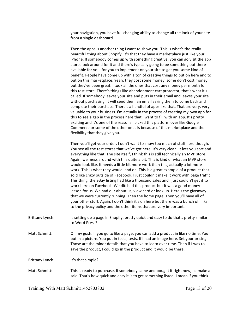your navigation, you have full changing ability to change all the look of your site from a single dashboard.

Then the apps is another thing I want to show you. This is what's the really beautiful thing about Shopify. It's that they have a marketplace just like your iPhone. If somebody comes up with something creative, you can go visit the app store, look around for it and there's typically going to be something out there available for you, for you to implement on your site to get you some kind of benefit. People have come up with a ton of creative things to put on here and to put on this marketplace. Yeah, they cost some money, some don't cost money but they've been great. I took all the ones that cost any money per month for this test store. There's things like abandonment cart protector, that's what it's called. If somebody leaves your site and puts in their email and leaves your site without purchasing. It will send them an email asking them to come back and complete their purchase. There's a handful of apps like that. That are very, very valuable to your business. I'm actually in the process of creating my own app for this to see a gap in the process here that I want to fill with an app. It's pretty exciting and it's one of the reasons I picked this platform over like Google Commerce or some of the other ones is because of this marketplace and the flexibility that they give you.

Then you'll get your order. I don't want to show too much of stuff here though. You see all the test stores that we've got here. It's very clean, it lets you sort and everything like that. The site itself, I think this is still technically an MVP store. Again, we mess around with this quite a bit. This is kind of what an MVP store would look like. It needs a little bit more work than this, actually a lot more work. This is what they would land on. This is a great example of a product that sold like crazy outside of Facebook. I just couldn't make it work with page traffic. This thing, the eBay listing had like a thousand sales and I just couldn't get it to work here on Facebook. We ditched this product but it was a good money lesson for us. We had our about us, view card or look up. Here's the giveaway that we were currently running. Then the home page. Then you'll have all of your other stuff. Again, I don't think it's on here but there was a bunch of links to the privacy policy and the other items that are very important.

- Brittany Lynch: Is setting up a page in Shopify, pretty quick and easy to do that's pretty similar to Word Press?
- Matt Schmitt: Oh my gosh. If you go to like a page, you can add a product in like no time. You put in a picture. You put in tests, tests. If I had an image here. Set your pricing. Those are the minor details that you have to learn over time. Then if I was to save the product, I could go in the product and it would be there.

Brittany Lynch: It's that simple?

Matt Schmitt: This is ready to purchase. If somebody came and bought it right now, I'd make a sale. That's how quick and easy it is to get something listed. I mean if you think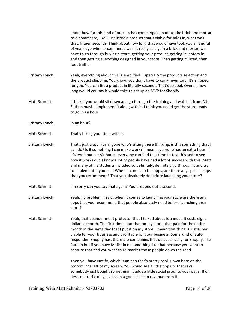about how far this kind of process has come. Again, back to the brick and mortar to e-commerce, like I just listed a product that's viable for sales in, what was that, fifteen seconds. Think about how long that would have took you a handful of years ago when e‐commerce wasn't really as big. In a brick and mortar, we have to go through buying a store, getting your product, getting inventory in and then getting everything designed in your store. Then getting it listed, then foot traffic.

- Brittany Lynch: Yeah, everything about this is simplified. Especially the products selection and the product shipping. You know, you don't have to carry inventory. It's shipped for you. You can list a product in literally seconds. That's so cool. Overall, how long would you say it would take to set up an MVP for Shopify.
- Matt Schmitt: I think if you would sit down and go through the training and watch it from A to Z, then maybe implement it along with it. I think you could get the store ready to go in an hour.
- Brittany Lynch: In an hour?
- Matt Schmitt: That's taking your time with it.
- Brittany Lynch: That's just crazy. For anyone who's sitting there thinking, is this something that I can do? Is it something I can make work? I mean, everyone has an extra hour. If it's two hours or six hours, everyone can find that time to test this and to see how it works out. I know a lot of people have had a lot of success with this. Matt and many of his students included so definitely, definitely go through it and try to implement it yourself. When it comes to the apps, are there any specific apps that you recommend? That you absolutely do before launching your store?
- Matt Schmitt: I'm sorry can you say that again? You dropped out a second.
- Brittany Lynch: Yeah, no problem. I said, when it comes to launching your store are there any apps that you recommend that people absolutely need before launching their store?
- Matt Schmitt: Yeah, that abandonment protector that I talked about is a must. It costs eight dollars a month. The first time I put that on my store, that paid for the entire month in the same day that I put it on my store. I mean that thing is just super viable for your business and profitable for your business. Some kind of auto responder. Shopify has, there are companies that do specifically for Shopify, like Rare.io but if you have Mailchin or something like that because you want to capture that and you want to re‐market those people down the road.

Then you have Notify, which is an app that's pretty cool. Down here on the bottom, the left of my screen. You would see a little pop up, that says somebody just bought something. It adds a little social proof to your page. If on desktop traffic only, I've seen a good spike in revenue from it.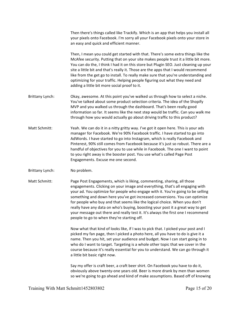Then there's things called like Trackify. Which is an app that helps you install all your pixels onto Facebook. I'm sorry all your Facebook pixels onto your store in an easy and quick and efficient manner.

Then, I mean you could get started with that. There's some extra things like the McAfee security. Putting that on your site makes people trust it a little bit more. You can do the, I think I had it on this store but Plugin SEO. Just cleaning up your site a little bit and that's really it. Those are the apps that I would recommend like from the get go to install. To really make sure that you're understanding and optimizing for your traffic. Helping people figuring out what they need and adding a little bit more social proof to it.

- Brittany Lynch: Okay, awesome. At this point you've walked us through how to select a niche. You've talked about some product selection criteria. The idea of the Shopify MVP and you walked us through the dashboard. That's been really good information so far. It seems like the next step would be traffic. Can you walk me through how you would actually go about driving traffic to this product?
- Matt Schmitt: Yeah. We can do it in a nitty gritty way. I've got it open here. This is your ads manager for Facebook. We're 90% Facebook traffic. I have started to go into AdWords. I have started to go into Instagram, which is really Facebook and Pinterest, 90% still comes from Facebook because it's just so robust. There are a handful of objectives for you to use while in Facebook. The one I want to point to you right away is the booster post. You use what's called Page Post Engagements. Excuse me one second.
- Brittany Lynch: No problem.

Matt Schmitt: Page Post Engagements, which is liking, commenting, sharing, all those engagements. Clicking on your image and everything, that's all engaging with your ad. You optimize for people who engage with it. You're going to be selling something and down here you've got increased conversions. You can optimize for people who buy and that seems like the logical choice. When you don't really have any data on who's buying, boosting your post it a great way to get your message out there and really test it. It's always the first one I recommend people to go to when they're starting off.

> Now what that kind of looks like, if I was to pick that. I picked your post and I picked my fan page, then I picked a photo here, all you have to do is give it a name. Then you hit, set your audience and budget. Now I can start going in to who do I want to target. Targeting is a whole other topic that we cover in the course because it's really essential for you to understand. We can go through it a little bit basic right now.

Say my offer is craft beer, a craft beer shirt. On Facebook you have to do it, obviously above twenty‐one years old. Beer is more drank by men than women so we're going to go ahead and kind of make assumptions. Based off of knowing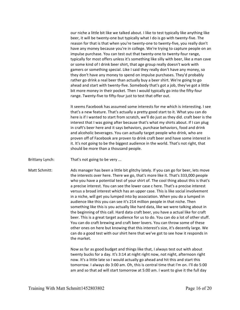our niche a little bit like we talked about. I like to test typically like anything like beer, it will be twenty-one but typically what I do is go with twenty-five. The reason for that is that when you're twenty-one to twenty-five, you really don't have any money because you're in college. We're trying to capture people on an impulse purchase. You can test out that twenty‐one to twenty‐four range, typically for most offers unless it's something like silly with beer, like a man cave or some kind of I drink beer shirt, that age group really doesn't work with gamers or something special. Like I said they really don't have any money, so they don't have any money to spend on impulse purchases. They'd probably rather go drink a real beer than actually buy a beer shirt. We're going to go ahead and start with twenty‐five. Somebody that's got a job, they've got a little bit more money in their pocket. Then I would typically go into the fifty-four range. Twenty-five to fifty-four just to test that offer out.

It seems Facebook has assumed some interests for me which is interesting. I see that's a new feature. That's actually a pretty good start to it. What you can do here is if I wanted to start from scratch, we'll do just as they did. craft beer is the interest that I was going after because that's what my shirts about. If I can plug in craft's beer here and it says behaviors, purchase behaviors, food and drink and alcoholic beverages. You can actually target people who drink, who are proven off of Facebook are proven to drink craft beer and have some interest in it. It's not going to be the biggest audience in the world. That's not right, that should be more than a thousand people.

Brittany Lynch: That's not going to be very ...

Matt Schmitt: Ads manager has been a little bit glitchy lately. If you can go for beer, lets move the interests over here. There we go, that's more like it. That's 333,000 people who you have a potential test of your shirt of. The cool thing about this is that's a precise interest. You can see the lower case c here. That's a precise interest versus a broad interest which has an upper case. This is like social involvement in a niche, will get you lumped into by association. When you do a lumped in audience like this you can see it's 214 million people in that niche. Then something like this is you actually like hard data, like we were talking about in the beginning of this call. Hard data craft beer, you have a actual like for craft beer. This is a great target audience for us to do. You can do a lot of other stuff. You can do craft brewing and craft beer lovers. You can throw some of these other ones on here but knowing that this interest's size, it's decently large. We can do a good test with our shirt here that we've got to see how it responds in the market.

> Now as far as good budget and things like that, I always test out with about twenty bucks for a day. It's 3:14 at night right now, not night, afternoon right now. It's a little late so I would actually go ahead and hit this and start this tomorrow. I always do 3:00 am. Oh, this is central time that I'm on. I'll do 5:00 am and so that ad will start tomorrow at 5:00 am. I want to give it the full day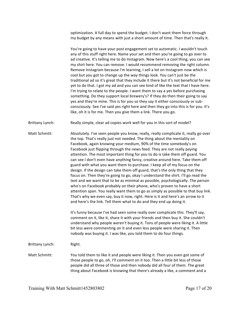optimization. A full day to spend the budget. I don't want them force through my budget by any means with just a short amount of time. Then that's really it.

You're going to have your post engagement set to automatic. I wouldn't touch any of this stuff right here. Name your set and then you're going to go over to ad creative. It's telling me to do Instagram. Now here's a cool thing, you can see my shirt here. You can remove. I would recommend removing the right column. Remove Instagram because I'm learning, I sell a lot on Instagram now which is cool but you got to change up the way things look. You can't just be the traditional ad so it's great that they include it there but it's not beneficial for me yet to do that. I got my ad and you can see kind of like the text that I have here. I'm trying to relate to the people. I want them to say a yes before purchasing something. Do they support local brewery's? If they do then their going to say yes and they're mine. This is for you so they say it either consciously or sub‐ consciously. See I've said yes right here and then they go into this is for you. It's like, oh it is for me. Then you give them a link. There you go.

Brittany Lynch: Really simple, clear ad copies work well for you in this sort of model?

Matt Schmitt: Absolutely. I've seen people you know, really, really complicate it, really go over the top. That's really just not needed. The thing about the mentality on Facebook, again knowing your medium, 90% of the time somebody's on Facebook just flipping through the news feed. They are not really paying attention. The most important thing for you to do is take them off guard. You can see I don't even have anything fancy, creative around here. Take them off guard with what you want them to purchase. I keep all of my focus on the design. If the design can take them off guard, that's the only thing that they focus on. Then they're going to go, okay I understand the shirt. I'll go read the text and we want that to be as minimal as possible, psychologically. The person who's on Facebook probably on their phone, who's proven to have a short attention span. You really want them to go as simply as possible to that buy link. That's why we even say, buy it now, right. Here is it and here's an arrow to it and here's the link. Tell them what to do and they end up doing it.

> It's funny because I've had seen some really over complicate this. They'll say, comment on it, like it, share it with your friends and then buy it. She couldn't understand why people weren't buying it. Tons of people were liking it. A little bit less were commenting on it and even less people were sharing it. Then nobody was buying it. I was like, you told them to do four things.

Brittany Lynch: Right.

Matt Schmitt: You told them to like it and people were liking it. Then you even got some of those people to go, oh, I'll comment on it too. Then a little bit less of those people did all three of those and then nobody did all four of them. The great thing about Facebook is knowing that there's already a like, a comment and a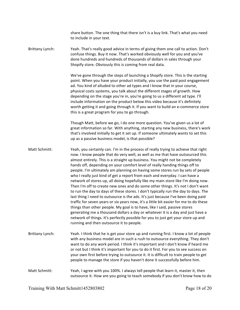share button. The one thing that there isn't is a buy link. That's what you need to include in your text.

Brittany Lynch: Yeah. That's really good advice in terms of giving them one call to action. Don't confuse things. Buy it now. That's worked obviously well for you and you've done hundreds and hundreds of thousands of dollars in sales through your Shopify store. Obviously this is coming from real data.

> We've gone through the steps of launching a Shopify store. This is the starting point. When you have your product initially, you use the paid post engagement ad. You kind of alluded to other ad types and I know that in your course, physical costs systems, you talk about the different stages of growth. How depending on the stage you're in, you're going to us a different ad type. I'll include information on the product below this video because it's definitely worth getting it and going through it. If you want to build an e‐commerce store this is a great program for you to go through.

> Though Matt, before we go, I do one more question. You've given us a lot of great information so far. With anything, starting any new business, there's work that's involved initially to get it set up. If someone ultimately wants to set this up as a passive business model, is that possible?

Matt Schmitt: Yeah, you certainly can. I'm in the process of really trying to achieve that right now. I know people that do very well, as well as me that have outsourced this almost entirely. This is a straight up business. You might not be completely hands off, depending on your comfort level of really handing things off to people. I'm ultimately am planning on having some stores run by sets of people who I really just kind of get a report from each and everyday. I can have a network of stores up, all doing hopefully like my main store like I'm doing now. Then I'm off to create new ones and do some other things. It's not I don't want to run the day to days of these stores. I don't typically run the day to days. The last thing I need to outsource is the ads. It's just because I've been doing paid traffic for seven years or six years now, it's a little bit easier for me to do these things than other people. My goal is to have, like I said, passive stores generating me a thousand dollars a day or whatever it is a day and just have a network of things. It's perfectly possible for you to just get your store up and running and then outsource it to people.

- Brittany Lynch: Yeah. I think that he is get your store up and running first. I know a lot of people with any business model are in such a rush to outsource everything. They don't want to do any work period. I think it's important and I don't know if heard me or not but I think it's important for you to do it first. For you to see success on your own first before trying to outsource it. It is difficult to train people to get people to manage the store if you haven't done it successfully before him.
- Matt Schmitt: Yeah, I agree with you 100%. I always tell people that learn it, master it, then outsource it. How are you going to teach somebody if you don't know how to do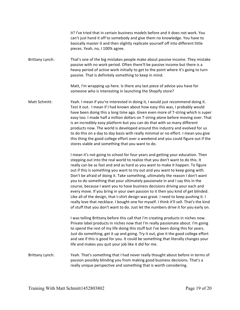it? I've tried that in certain business models before and it does not work. You can't just hand it off to somebody and give them no knowledge. You have to basically master it and then slightly replicate yourself off into different little pieces. Yeah, no, I 100% agree.

Brittany Lynch: That's one of the big mistakes people make about passive income. They mistake passive with no work period. Often there'll be passive income but there is a heavy period of active work initially to get to the point where it's going to turn passive. That is definitely something to keep in mind.

> Matt, I'm wrapping up here. Is there any last piece of advice you have for someone who is interesting in launching the Shopify store?

Matt Schmitt: Yeah. I mean if you're interested in doing it, I would just recommend doing it. Test it out. I mean if I had known about how easy this was, I probably would have been doing this a long time ago. Given even more of T‐string which is super easy too. I made half a million dollars on T‐string alone before moving over. That is an incredibly easy platform but you can do that with so many different products now. The world is developed around this industry and evolved for us to do this on a day to day basis with really minimal or no effort. I mean you give this thing the good college effort over a weekend and you could figure out if the stores viable and something that you want to do.

> I mean it's not going to school for four years and getting your education. Then stepping out into the real world to realize that you don't want to do this. It really can be as fast and and as hard as you want to make it happen. To figure out if this is something you want to try out and you want to keep going with. Don't be afraid of doing it. Take something, ultimately the reason I don't want you to do something that your ultimately passionate in and I say this in the course, because I want you to have business decisions driving your each and every move. If you bring in your own passion to it then you kind of get blinded. Like all of the design, that t-shirt design was great. I need to keep pushing it. I really love that necklace. I bought one for myself. I think it'll sell. That's the kind of stuff that you don't want to do. Just let the numbers drive it for you early on.

I was telling Brittany before this call that I'm creating products in niches now. Private label products in niches now that I'm really passionate about. I'm going to spend the rest of my life doing this stuff but I've been doing this for years. Just do something, get it up and going. Try it out, give it the good college effort and see if this is good for you. It could be something that literally changes your life and makes you quit your job like it did for me.

Brittany Lynch: Yeah. That's something that I had never really thought about before in terms of passion possibly blinding you from making good business decisions. That's a really unique perspective and something that is worth considering.